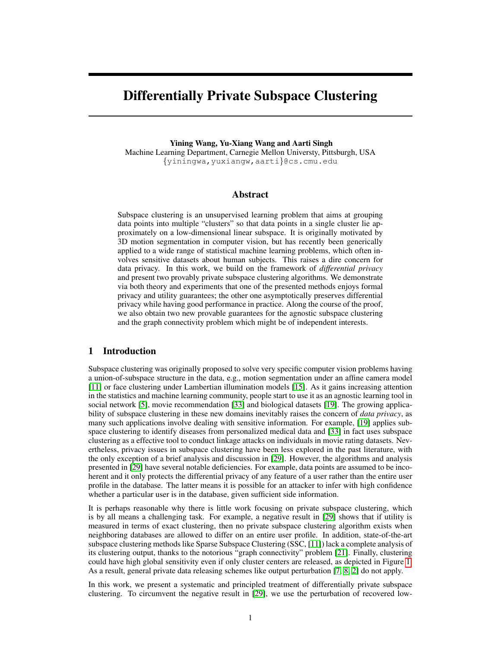# Differentially Private Subspace Clustering

Yining Wang, Yu-Xiang Wang and Aarti Singh Machine Learning Department, Carnegie Mellon Universty, Pittsburgh, USA {yiningwa,yuxiangw,aarti}@cs.cmu.edu

# Abstract

Subspace clustering is an unsupervised learning problem that aims at grouping data points into multiple "clusters" so that data points in a single cluster lie approximately on a low-dimensional linear subspace. It is originally motivated by 3D motion segmentation in computer vision, but has recently been generically applied to a wide range of statistical machine learning problems, which often involves sensitive datasets about human subjects. This raises a dire concern for data privacy. In this work, we build on the framework of *differential privacy* and present two provably private subspace clustering algorithms. We demonstrate via both theory and experiments that one of the presented methods enjoys formal privacy and utility guarantees; the other one asymptotically preserves differential privacy while having good performance in practice. Along the course of the proof, we also obtain two new provable guarantees for the agnostic subspace clustering and the graph connectivity problem which might be of independent interests.

# 1 Introduction

Subspace clustering was originally proposed to solve very specific computer vision problems having a union-of-subspace structure in the data, e.g., motion segmentation under an affine camera model [11] or face clustering under Lambertian illumination models [15]. As it gains increasing attention in the statistics and machine learning community, people start to use it as an agnostic learning tool in social network [5], movie recommendation [33] and biological datasets [19]. The growing applicability of subspace clustering in these new domains inevitably raises the concern of *data privacy*, as many such applications involve dealing with sensitive information. For example, [19] applies subspace clustering to identify diseases from personalized medical data and [33] in fact uses subspace clustering as a effective tool to conduct linkage attacks on individuals in movie rating datasets. Nevertheless, privacy issues in subspace clustering have been less explored in the past literature, with the only exception of a brief analysis and discussion in [29]. However, the algorithms and analysis presented in [29] have several notable deficiencies. For example, data points are assumed to be incoherent and it only protects the differential privacy of any feature of a user rather than the entire user profile in the database. The latter means it is possible for an attacker to infer with high confidence whether a particular user is in the database, given sufficient side information.

It is perhaps reasonable why there is little work focusing on private subspace clustering, which is by all means a challenging task. For example, a negative result in [29] shows that if utility is measured in terms of exact clustering, then no private subspace clustering algorithm exists when neighboring databases are allowed to differ on an entire user profile. In addition, state-of-the-art subspace clustering methods like Sparse Subspace Clustering (SSC, [11]) lack a complete analysis of its clustering output, thanks to the notorious "graph connectivity" problem [21]. Finally, clustering could have high global sensitivity even if only cluster centers are released, as depicted in Figure 1. As a result, general private data releasing schemes like output perturbation [7, 8, 2] do not apply.

In this work, we present a systematic and principled treatment of differentially private subspace clustering. To circumvent the negative result in [29], we use the perturbation of recovered low-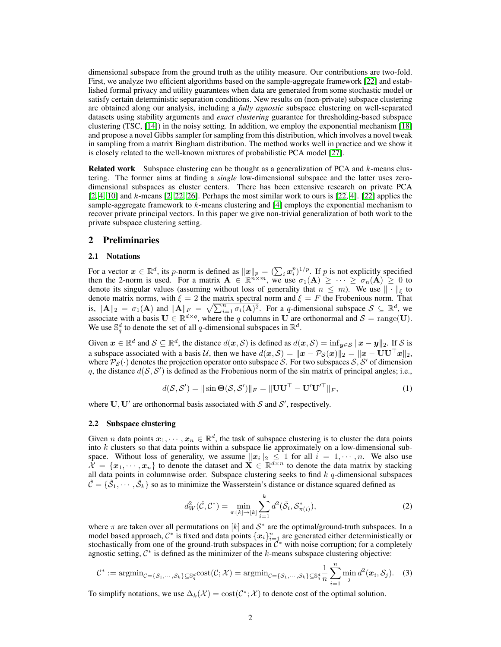dimensional subspace from the ground truth as the utility measure. Our contributions are two-fold. First, we analyze two efficient algorithms based on the sample-aggregate framework [22] and established formal privacy and utility guarantees when data are generated from some stochastic model or satisfy certain deterministic separation conditions. New results on (non-private) subspace clustering are obtained along our analysis, including a *fully agnostic* subspace clustering on well-separated datasets using stability arguments and *exact clustering* guarantee for thresholding-based subspace clustering (TSC, [14]) in the noisy setting. In addition, we employ the exponential mechanism [18] and propose a novel Gibbs sampler for sampling from this distribution, which involves a novel tweak in sampling from a matrix Bingham distribution. The method works well in practice and we show it is closely related to the well-known mixtures of probabilistic PCA model [27].

**Related work** Subspace clustering can be thought as a generalization of PCA and  $k$ -means clustering. The former aims at finding a *single* low-dimensional subspace and the latter uses zerodimensional subspaces as cluster centers. There has been extensive research on private PCA  $[2, 4, 10]$  and k-means  $[2, 22, 26]$ . Perhaps the most similar work to ours is  $[22, 4]$ .  $[22]$  applies the sample-aggregate framework to  $k$ -means clustering and [4] employs the exponential mechanism to recover private principal vectors. In this paper we give non-trivial generalization of both work to the private subspace clustering setting.

# 2 Preliminaries

# 2.1 Notations

For a vector  $x \in \mathbb{R}^d$ , its p-norm is defined as  $||x||_p = (\sum_i x_i^p)^{1/p}$ . If p is not explicitly specified then the 2-norm is used. For a matrix  $\mathbf{A} \in \mathbb{R}^{m \times m}$ , we use  $\sigma_1(\mathbf{A}) \geq \cdots \geq \sigma_n(\mathbf{A}) \geq 0$  to denote its singular values (assuming without loss of generality that  $n \leq m$ ). We use  $\|\cdot\|_{\xi}$  to denote matrix norms, with  $\xi = 2$  the matrix spectral norm and  $\xi = F$  the Frobenious norm. That is,  $\|\mathbf{A}\|_2 = \sigma_1(\mathbf{A})$  and  $\|\mathbf{A}\|_F = \sqrt{\sum_{i=1}^n \sigma_i(\mathbf{A})^2}$ . For a q-dimensional subspace  $S \subseteq \mathbb{R}^d$ , we associate with a basis  $U \in \mathbb{R}^{d \times q}$ , where the q columns in U are orthonormal and  $S = \text{range}(U)$ . We use  $\mathbb{S}_q^d$  to denote the set of all q-dimensional subspaces in  $\mathbb{R}^d$ .

Given  $x \in \mathbb{R}^d$  and  $\mathcal{S} \subseteq \mathbb{R}^d$ , the distance  $d(x, \mathcal{S})$  is defined as  $d(x, \mathcal{S}) = \inf_{y \in \mathcal{S}} ||x - y||_2$ . If  $\mathcal{S}$  is a subspace associated with a basis U, then we have  $d(x, S) = ||x - \mathcal{P}_S(x)||_2 = ||x - \mathbf{UU}^\top x||_2$ , where  $\mathcal{P}_{\mathcal{S}}(\cdot)$  denotes the projection operator onto subspace S. For two subspaces  $\mathcal{S}, \mathcal{S}'$  of dimension q, the distance  $d(S, S')$  is defined as the Frobenious norm of the sin matrix of principal angles; i.e.,

$$
d(\mathcal{S}, \mathcal{S}') = \|\sin \Theta(\mathcal{S}, \mathcal{S}')\|_F = \|\mathbf{U}\mathbf{U}^\top - \mathbf{U}'\mathbf{U}'^\top\|_F, \tag{1}
$$

where  $U, U'$  are orthonormal basis associated with  $S$  and  $S'$ , respectively.

#### 2.2 Subspace clustering

Given *n* data points  $x_1, \dots, x_n \in \mathbb{R}^d$ , the task of subspace clustering is to cluster the data points into  $k$  clusters so that data points within a subspace lie approximately on a low-dimensional subspace. Without loss of generality, we assume  $||x_i||_2 \leq 1$  for all  $i = 1, \dots, n$ . We also use  $\mathcal{X} = \{x_1, \dots, x_n\}$  to denote the dataset and  $\mathbf{X} \in \mathbb{R}^{d \times n}$  to denote the data matrix by stacking all data points in columnwise order. Subspace clustering seeks to find  $k$   $q$ -dimensional subspaces  $\hat{\mathcal{C}} = \{\hat{\mathcal{S}}_1, \cdots, \hat{\mathcal{S}}_k\}$  so as to minimize the Wasserstein's distance or distance squared defined as

$$
d_W^2(\hat{C}, C^*) = \min_{\pi:[k] \to [k]} \sum_{i=1}^k d^2(\hat{S}_i, S_{\pi(i)}^*),
$$
\n(2)

where  $\pi$  are taken over all permutations on [k] and  $S^*$  are the optimal/ground-truth subspaces. In a model based approach,  $C^*$  is fixed and data points  $\{x_i\}_{i=1}^n$  are generated either deterministically or stochastically from one of the ground-truth subspaces in  $\mathcal{C}^*$  with noise corruption; for a completely agnostic setting,  $C^*$  is defined as the minimizer of the k-means subspace clustering objective:

$$
\mathcal{C}^* := \operatorname{argmin}_{\mathcal{C} = \{S_1, \dots, S_k\} \subseteq \mathbb{S}_q^d} \operatorname{cost}(\mathcal{C}; \mathcal{X}) = \operatorname{argmin}_{\mathcal{C} = \{S_1, \dots, S_k\} \subseteq \mathbb{S}_q^d} \frac{1}{n} \sum_{i=1}^n \min_j d^2(\boldsymbol{x}_i, S_j). \tag{3}
$$

To simplify notations, we use  $\Delta_k(\mathcal{X}) = \text{cost}(\mathcal{C}^*; \mathcal{X})$  to denote cost of the optimal solution.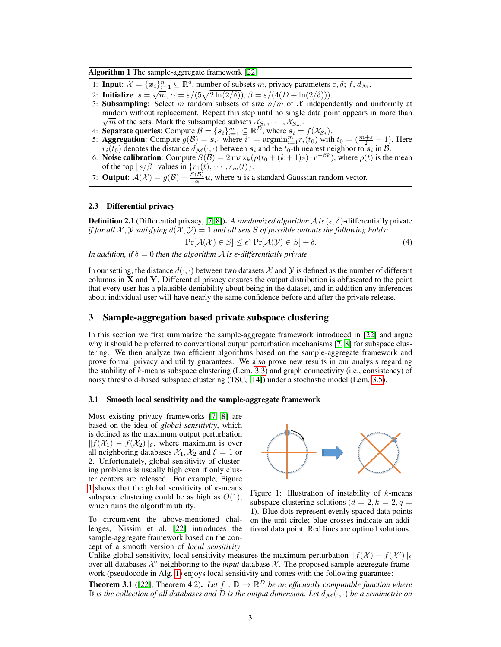Algorithm 1 The sample-aggregate framework [22]

- 1: **Input**:  $\mathcal{X} = {\mathbf{x}_i}_{i=1}^n \subseteq \mathbb{R}^d$ , number of subsets m, privacy parameters  $\varepsilon, \delta; f, d_\mathcal{M}$ .
- 2: Initialize:  $s = \sqrt{m}, \alpha = \varepsilon/(5\sqrt{2\ln(2/\delta)})$ ,  $\beta = \varepsilon/(4(D + \ln(2/\delta)))$ .
- 3: **Subsampling**: Select m random subsets of size  $n/m$  of X independently and uniformly at random without replacement. Repeat this step until no single data point appears in more than  $\overline{m}$  of the sets. Mark the subsampled subsets  $\mathcal{X}_{S_1}, \cdots, \mathcal{X}_{S_m}$ .
- 4: **Separate queries:** Compute  $\mathcal{B} = \{s_i\}_{i=1}^m \subseteq \mathbb{R}^{\widetilde{D}^1}$  where  $s_i = f(\mathcal{X}_{S_i})$ .
- 5: **Aggregation**: Compute  $g(B) = s_{i^*}$  where  $i^* = \operatorname{argmin}_{i=1}^m r_i(t_0)$  with  $t_0 = (\frac{m+s}{2} + 1)$ . Here  $r_i(t_0)$  denotes the distance  $d_{\mathcal{M}}(\cdot, \cdot)$  between  $s_i$  and the  $t_0$ -th nearest neighbor to  $s_i$  in  $\mathcal{B}$ .
- 6: Noise calibration: Compute  $S(\mathcal{B}) = 2 \max_k (\rho(t_0 + (k+1)s) \cdot e^{-\beta k})$ , where  $\rho(t)$  is the mean of the top  $\lfloor s/\beta \rfloor$  values in  $\{r_1(t), \cdots, r_m(t)\}.$
- 7: **Output**:  $A(\mathcal{X}) = g(\mathcal{B}) + \frac{S(\mathcal{B})}{\alpha}u$ , where u is a standard Gaussian random vector.

#### 2.3 Differential privacy

**Definition 2.1** (Differential privacy, [7, 8]). A randomized algorithm A is  $(\varepsilon, \delta)$ -differentially private *if for all*  $\mathcal{X}, \mathcal{Y}$  *satisfying*  $d(\mathcal{X}, \mathcal{Y}) = 1$  *and all sets* S *of possible outputs the following holds:* 

$$
\Pr[\mathcal{A}(\mathcal{X}) \in S] \le e^{\varepsilon} \Pr[\mathcal{A}(\mathcal{Y}) \in S] + \delta. \tag{4}
$$

*In addition, if*  $\delta = 0$  *then the algorithm A is*  $\varepsilon$ *-differentially private.* 

In our setting, the distance  $d(\cdot, \cdot)$  between two datasets X and Y is defined as the number of different columns in X and Y. Differential privacy ensures the output distribution is obfuscated to the point that every user has a plausible deniability about being in the dataset, and in addition any inferences about individual user will have nearly the same confidence before and after the private release.

## 3 Sample-aggregation based private subspace clustering

In this section we first summarize the sample-aggregate framework introduced in [22] and argue why it should be preferred to conventional output perturbation mechanisms [7, 8] for subspace clustering. We then analyze two efficient algorithms based on the sample-aggregate framework and prove formal privacy and utility guarantees. We also prove new results in our analysis regarding the stability of  $k$ -means subspace clustering (Lem. 3.3) and graph connectivity (i.e., consistency) of noisy threshold-based subspace clustering (TSC, [14]) under a stochastic model (Lem. 3.5).

#### 3.1 Smooth local sensitivity and the sample-aggregate framework

Most existing privacy frameworks [7, 8] are based on the idea of *global sensitivity*, which is defined as the maximum output perturbation  $|| f(\mathcal{X}_1) - f(\mathcal{X}_2)||_{\xi}$ , where maximum is over all neighboring databases  $\mathcal{X}_1, \mathcal{X}_2$  and  $\xi = 1$  or 2. Unfortunately, global sensitivity of clustering problems is usually high even if only cluster centers are released. For example, Figure 1 shows that the global sensitivity of  $k$ -means subspace clustering could be as high as  $O(1)$ , which ruins the algorithm utility.

To circumvent the above-mentioned challenges, Nissim et al. [22] introduces the sample-aggregate framework based on the concept of a smooth version of *local sensitivity*.



Figure 1: Illustration of instability of  $k$ -means subspace clustering solutions ( $d = 2, k = 2, q = 1$ ) 1). Blue dots represent evenly spaced data points on the unit circle; blue crosses indicate an additional data point. Red lines are optimal solutions.

Unlike global sensitivity, local sensitivity measures the maximum perturbation  $|| f(\mathcal{X}) - f(\mathcal{X}') ||_{\xi}$ over all databases  $\mathcal{X}'$  neighboring to the *input* database  $\mathcal{X}$ . The proposed sample-aggregate framework (pseudocode in Alg. 1) enjoys local sensitivity and comes with the following guarantee:

**Theorem 3.1** ([22], Theorem 4.2). Let  $f : \mathbb{D} \to \mathbb{R}^D$  be an efficiently computable function where  $\mathbb D$  *is the collection of all databases and*  $D$  *is the output dimension. Let*  $d_{\mathcal{M}}(\cdot, \cdot)$  *be a semimetric on*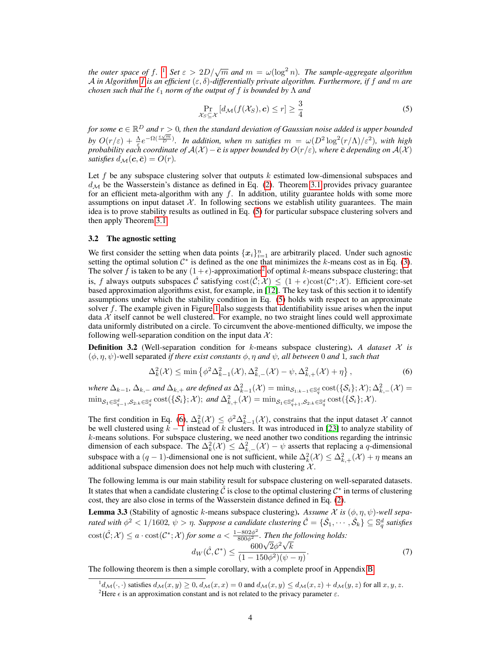*the outer space of*  $f$ . <sup>1</sup> *Set*  $\varepsilon > 2D/\sqrt{m}$  *and*  $m = \omega(\log^2 n)$ *. The sample-aggregate algorithm* A *in Algorithm 1 is an efficient* (ε, δ)*-differentially private algorithm. Furthermore, if* f *and* m *are chosen such that the*  $\ell_1$  *norm of the output of* f *is bounded by*  $\Lambda$  *and* 

$$
\Pr_{\mathcal{X}_S \subseteq \mathcal{X}} \left[ d_{\mathcal{M}}(f(\mathcal{X}_S), \mathbf{c}) \le r \right] \ge \frac{3}{4} \tag{5}
$$

for some  $\boldsymbol{c}\in\mathbb{R}^{D}$  and  $r>0$ , then the standard deviation of Gaussian noise added is upper bounded by  $O(r/\varepsilon) + \frac{\lambda}{\varepsilon} e^{-\Omega(\frac{\varepsilon \sqrt{m}}{D})}$ . In addition, when m satisfies  $m = \omega(D^2 \log^2(r/\Lambda)/\varepsilon^2)$ , with high *probability each coordinate of*  $A(\mathcal{X})$  *−*  $\bar{\bm{c}}$  *is upper bounded by*  $O(r/\varepsilon)$ *, where*  $\bar{\bm{c}}$  *depending on*  $A(\mathcal{X})$ *satisfies*  $d_{\mathcal{M}}(c, \bar{c}) = O(r)$ *.* 

Let  $f$  be any subspace clustering solver that outputs  $k$  estimated low-dimensional subspaces and  $d_{\mathcal{M}}$  be the Wasserstein's distance as defined in Eq. (2). Theorem 3.1 provides privacy guarantee for an efficient meta-algorithm with any  $f$ . In addition, utility guarantee holds with some more assumptions on input dataset  $X$ . In following sections we establish utility guarantees. The main idea is to prove stability results as outlined in Eq. (5) for particular subspace clustering solvers and then apply Theorem 3.1.

#### 3.2 The agnostic setting

We first consider the setting when data points  $\{x_i\}_{i=1}^n$  are arbitrarily placed. Under such agnostic setting the optimal solution  $C^*$  is defined as the one that minimizes the k-means cost as in Eq. (3). The solver f is taken to be any  $(1 + \epsilon)$ -approximation<sup>2</sup> of optimal k-means subspace clustering; that is, f always outputs subspaces  $\hat{C}$  satisfying  $\mathrm{cost}(\hat{C}; \mathcal{X}) \leq (1 + \epsilon)\mathrm{cost}(\mathcal{C}^*; \mathcal{X})$ . Efficient core-set based approximation algorithms exist, for example, in [12]. The key task of this section it to identify assumptions under which the stability condition in Eq. (5) holds with respect to an approximate solver  $f$ . The example given in Figure 1 also suggests that identifiability issue arises when the input data  $X$  itself cannot be well clustered. For example, no two straight lines could well approximate data uniformly distributed on a circle. To circumvent the above-mentioned difficulty, we impose the following well-separation condition on the input data  $\mathcal{X}$ :

**Definition 3.2** (Well-separation condition for k-means subspace clustering). A dataset  $\mathcal{X}$  is  $(\phi, \eta, \psi)$ -well separated *if there exist constants*  $\phi, \eta$  *and*  $\psi$ *, all between* 0 *and* 1*, such that* 

$$
\Delta_k^2(\mathcal{X}) \le \min\left\{\phi^2 \Delta_{k-1}^2(\mathcal{X}), \Delta_{k,-}^2(\mathcal{X}) - \psi, \Delta_{k,+}^2(\mathcal{X}) + \eta\right\},\tag{6}
$$

 $where \ \Delta_{k-1}, \ \Delta_{k,-}$  and  $\Delta_{k,+}$  are defined as  $\Delta_{k-1}^2(\mathcal{X}) = \min_{\mathcal{S}_{1:k-1} \in \mathbb{S}_q^d} \text{cost}(\{\mathcal{S}_i\};\mathcal{X}); \Delta_{k,-}^2(\mathcal{X}) =$  $\min_{\mathcal{S}_1 \in \mathbb{S}_{q-1}^d, \mathcal{S}_2: k \in \mathbb{S}_q^d} \text{cost}(\{\mathcal{S}_i\}; \mathcal{X})$ ; and  $\Delta_{k,+}^2(\mathcal{X}) = \min_{\mathcal{S}_1 \in \mathbb{S}_{q+1}^d, \mathcal{S}_2: k \in \mathbb{S}_q^d} \text{cost}(\{\mathcal{S}_i\}; \mathcal{X})$ .

The first condition in Eq. (6),  $\Delta_k^2(\mathcal{X}) \leq \phi^2 \Delta_{k-1}^2(\mathcal{X})$ , constrains that the input dataset X cannot be well clustered using  $k - 1$  instead of k clusters. It was introduced in [23] to analyze stability of  $k$ -means solutions. For subspace clustering, we need another two conditions regarding the intrinsic dimension of each subspace. The  $\Delta_k^2(\mathcal{X}) \leq \Delta_{k,-}^2(\mathcal{X}) - \psi$  asserts that replacing a q-dimensional subspace with a  $(q-1)$ -dimensional one is not sufficient, while  $\Delta_k^2(\mathcal{X}) \leq \Delta_{k,+}^2(\mathcal{X}) + \eta$  means an additional subspace dimension does not help much with clustering  $\mathcal{X}$ .

The following lemma is our main stability result for subspace clustering on well-separated datasets. It states that when a candidate clustering  $\hat{\mathcal{C}}$  is close to the optimal clustering  $\mathcal{C}^*$  in terms of clustering cost, they are also close in terms of the Wasserstein distance defined in Eq. (2).

**Lemma 3.3** (Stability of agnostic k-means subspace clustering). Assume X is  $(\phi, \eta, \psi)$ -well sepa*rated with*  $\phi^2 < 1/1602$ ,  $\psi > \eta$ . Suppose a candidate clustering  $\hat{\mathcal{C}} = \{\hat{\mathcal{S}}_1,\cdots,\hat{\mathcal{S}}_k\}\subseteq\mathbb{S}_q^d$  satisfies  $\text{cost}(\hat{C}; \mathcal{X}) \le a \cdot \text{cost}(\mathcal{C}^*; \mathcal{X})$  for some  $a < \frac{1-802\phi^2}{800\phi^2}$ . Then the following holds:<br> $\frac{600\sqrt{2}\phi^2\sqrt{k}}{2}$ 

$$
d_W(\hat{C}, C^*) \le \frac{600\sqrt{2\phi^2}\sqrt{k}}{(1 - 150\phi^2)(\psi - \eta)}.
$$
\n(7)

The following theorem is then a simple corollary, with a complete proof in Appendix B.

 ${}^1d_{\mathcal{M}}(\cdot,\cdot)$  satisfies  $d_{\mathcal{M}}(x,y)\geq 0$ ,  $d_{\mathcal{M}}(x,x)=0$  and  $d_{\mathcal{M}}(x,y)\leq d_{\mathcal{M}}(x,z)+d_{\mathcal{M}}(y,z)$  for all  $x, y, z$ .

<sup>&</sup>lt;sup>2</sup>Here  $\epsilon$  is an approximation constant and is not related to the privacy parameter  $\epsilon$ .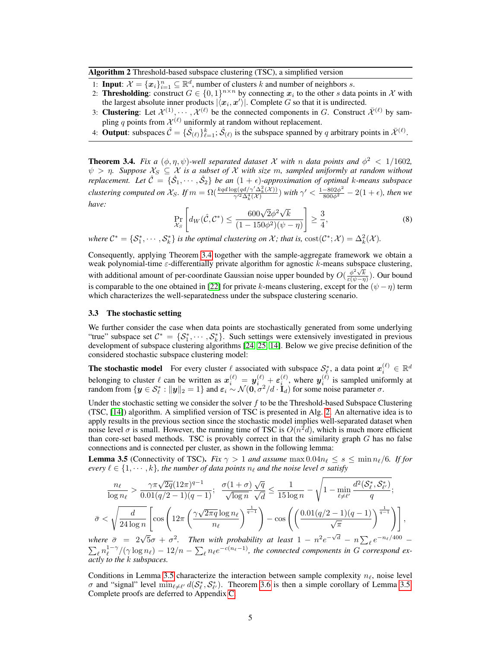Algorithm 2 Threshold-based subspace clustering (TSC), a simplified version

- 1: **Input:**  $\mathcal{X} = {\mathbf{x}_i}_{i=1}^n \subseteq \mathbb{R}^d$ , number of clusters k and number of neighbors s.
- 2: Thresholding: construct  $G \in \{0,1\}^{n \times n}$  by connecting  $x_i$  to the other s data points in X with the largest absolute inner products  $|\langle x_i, x' \rangle|$ . Complete G so that it is undirected.
- 3: Clustering: Let  $\mathcal{X}^{(1)}, \cdots, \mathcal{X}^{(\ell)}$  be the connected components in G. Construct  $\bar{\mathcal{X}}^{(\ell)}$  by sampling q points from  $\mathcal{X}^{(\ell)}$  uniformly at random without replacement.
- 4: **Output**: subspaces  $\hat{\mathcal{C}} = \{\hat{\mathcal{S}}_{(\ell)}\}_{\ell=1}^k$ ;  $\hat{\mathcal{S}}_{(\ell)}$  is the subspace spanned by q arbitrary points in  $\bar{\mathcal{X}}^{(\ell)}$ .

**Theorem 3.4.** *Fix a* ( $\phi, \eta, \psi$ )-well separated dataset X with n data points and  $\phi^2 < 1/1602$ ,  $\psi > \eta$ . Suppose  $\mathcal{X}_S \subseteq \mathcal{X}$  is a subset of  $\mathcal{X}$  with size m, sampled uniformly at random without *replacement.* Let  $\hat{C} = \{\hat{S}_1, \cdots, \hat{S}_2\}$  be an  $(1 + \epsilon)$ -approximation of optimal k-means subspace *clustering computed on*  $\mathcal{X}_S$ . If  $m = \Omega(\frac{kq d \log(q d / \gamma' \Delta_k^2(\mathcal{X}))}{\gamma'^2 \Delta_1^4(\mathcal{X})})$  $\frac{\log (qd/\gamma'\Delta^2_k(\mathcal{X}))}{\gamma'^2\Delta^4_k(\mathcal{X})})$  with  $\gamma'<\frac{1-802\phi^2}{800\phi^2}-2(1+\epsilon)$ , then we *have:* √

$$
\Pr_{\mathcal{X}_S} \left[ d_W(\hat{\mathcal{C}}, \mathcal{C}^*) \le \frac{600\sqrt{2}\phi^2\sqrt{k}}{(1 - 150\phi^2)(\psi - \eta)} \right] \ge \frac{3}{4},\tag{8}
$$

*where*  $C^* = \{S_1^*, \dots, S_k^*\}$  *is the optimal clustering on*  $\mathcal{X}$ *; that is,*  $cost(C^*; \mathcal{X}) = \Delta_k^2(\mathcal{X})$ *.* 

Consequently, applying Theorem 3.4 together with the sample-aggregate framework we obtain a weak polynomial-time ε-differentially private algorithm for agnostic k-means subspace clustering, with additional amount of per-coordinate Gaussian noise upper bounded by  $O(\frac{\phi^2\sqrt{k}}{\epsilon(\psi-\eta)})$ . Our bound is comparable to the one obtained in [22] for private k-means clustering, except for the  $(\psi - \eta)$  term which characterizes the well-separatedness under the subspace clustering scenario.

#### 3.3 The stochastic setting

We further consider the case when data points are stochastically generated from some underlying "true" subspace set  $C^* = \{S_1^*, \dots, S_k^*\}$ . Such settings were extensively investigated in previous development of subspace clustering algorithms [24, 25, 14]. Below we give precise definition of the considered stochastic subspace clustering model:

**The stochastic model** For every cluster  $\ell$  associated with subspace  $\mathcal{S}_{\ell}^*$ , a data point  $x_i^{(\ell)} \in \mathbb{R}^d$ belonging to cluster  $\ell$  can be written as  $x_i^{(\ell)} = y_i^{(\ell)} + \varepsilon_i^{(\ell)}$ , where  $y_i^{(\ell)}$  is sampled uniformly at random from  $\{y \in \mathcal{S}_{\ell}^* : ||y||_2 = 1\}$  and  $\varepsilon_i \sim \mathcal{N}(\mathbf{0}, \sigma^2/d \cdot \mathbf{I}_d)$  for some noise parameter  $\sigma$ .

Under the stochastic setting we consider the solver  $f$  to be the Threshold-based Subspace Clustering (TSC, [14]) algorithm. A simplified version of TSC is presented in Alg. 2. An alternative idea is to apply results in the previous section since the stochastic model implies well-separated dataset when noise level  $\sigma$  is small. However, the running time of TSC is  $O(n^2d)$ , which is much more efficient than core-set based methods. TSC is provably correct in that the similarity graph  $G$  has no false connections and is connected per cluster, as shown in the following lemma:

**Lemma 3.5** (Connectivity of TSC). *Fix*  $\gamma > 1$  *and assume* max  $0.04n_\ell \le s \le \min n_\ell/6$ *. If for every*  $\ell \in \{1, \dots, k\}$ , the number of data points  $n_{\ell}$  and the noise level  $\sigma$  satisfy

$$
\frac{n_{\ell}}{\log n_{\ell}} > \frac{\gamma \pi \sqrt{2q} (12\pi)^{q-1}}{0.01(q/2-1)(q-1)}; \quad \frac{\sigma(1+\sigma)}{\sqrt{\log n}} \frac{\sqrt{q}}{\sqrt{d}} \le \frac{1}{15 \log n} - \sqrt{1 - \min_{\ell \neq \ell'}} \frac{d^2(\mathcal{S}_{\ell}^*, \mathcal{S}_{\ell'}^*)}{q};
$$
\n
$$
\bar{\sigma} < \sqrt{\frac{d}{24 \log n}} \left[ \cos \left( 12\pi \left( \frac{\gamma \sqrt{2\pi q} \log n_{\ell}}{n_{\ell}} \right)^{\frac{1}{q-1}} \right) - \cos \left( \left( \frac{0.01(q/2-1)(q-1)}{\sqrt{\pi}} \right)^{\frac{1}{q-1}} \right) \right],
$$
\nwhere  $\bar{\sigma} = 2\sqrt{5}\sigma + \sigma^2$ . Then with probability at least  $1 - n^2 e^{-\sqrt{d}} - n \sum_{\ell} e^{-n_{\ell}/400} - \frac{1}{2} \sigma^2$ .

 $\sum_{\ell} n_{\ell}^{1-\gamma}/(\gamma \log n_{\ell}) - 12/n - \sum_{\ell} n_{\ell} e^{-c(n_{\ell}-1)}$ , the connected components in G correspond ex*actly to the* k *subspaces.*

Conditions in Lemma 3.5 characterize the interaction between sample complexity  $n_{\ell}$ , noise level  $\sigma$  and "signal" level  $\min_{\ell \neq \ell'} d(S_{\ell}^*, S_{\ell'}^*)$ . Theorem 3.6 is then a simple corollary of Lemma 3.5. Complete proofs are deferred to Appendix C.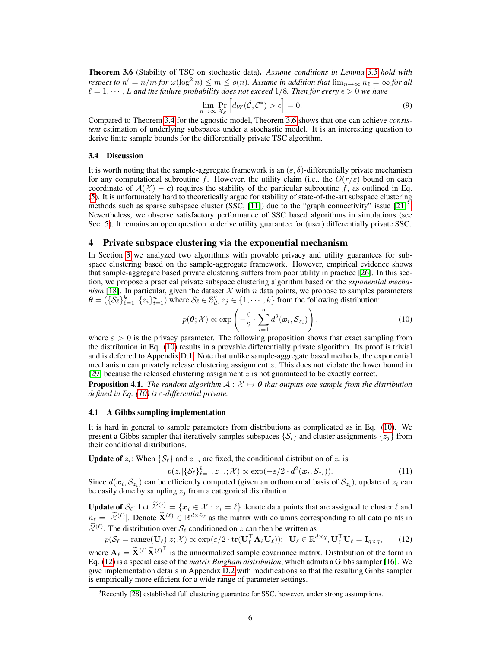Theorem 3.6 (Stability of TSC on stochastic data). *Assume conditions in Lemma 3.5 hold with respect to*  $n' = n/m$  *for*  $\omega(\log^2 n) \le m \le o(n)$ . Assume in addition that  $\lim_{n\to\infty} n_\ell = \infty$  for all  $\ell = 1, \cdots, L$  *and the failure probability does not exceed* 1/8*. Then for every*  $\epsilon > 0$  *we have* 

$$
\lim_{n \to \infty} \Pr_{\mathcal{X}_S} \left[ d_W(\hat{\mathcal{C}}, \mathcal{C}^*) > \epsilon \right] = 0. \tag{9}
$$

Compared to Theorem 3.4 for the agnostic model, Theorem 3.6 shows that one can achieve *consistent* estimation of underlying subspaces under a stochastic model. It is an interesting question to derive finite sample bounds for the differentially private TSC algorithm.

#### 3.4 Discussion

It is worth noting that the sample-aggregate framework is an  $(\varepsilon, \delta)$ -differentially private mechanism for any computational subroutine f. However, the utility claim (i.e., the  $O(r/\varepsilon)$ ) bound on each coordinate of  $A(\mathcal{X}) - c$ ) requires the stability of the particular subroutine f, as outlined in Eq. (5). It is unfortunately hard to theoretically argue for stability of state-of-the-art subspace clustering methods such as sparse subspace cluster (SSC, [11]) due to the "graph connectivity" issue  $[21]$ <sup>3</sup>. Nevertheless, we observe satisfactory performance of SSC based algorithms in simulations (see Sec. 5). It remains an open question to derive utility guarantee for (user) differentially private SSC.

# 4 Private subspace clustering via the exponential mechanism

In Section 3 we analyzed two algorithms with provable privacy and utility guarantees for subspace clustering based on the sample-aggregate framework. However, empirical evidence shows that sample-aggregate based private clustering suffers from poor utility in practice [26]. In this section, we propose a practical private subspace clustering algorithm based on the *exponential mechanism* [18]. In particular, given the dataset  $X$  with n data points, we propose to samples parameters  $\theta = (\{S_\ell\}_{\ell=1}^k, \{z_i\}_{i=1}^n)$  where  $S_\ell \in \mathbb{S}_d^q, z_j \in \{1, \cdots, k\}$  from the following distribution:

$$
p(\boldsymbol{\theta}; \mathcal{X}) \propto \exp\left(-\frac{\varepsilon}{2} \cdot \sum_{i=1}^{n} d^{2}(\boldsymbol{x}_{i}, \mathcal{S}_{z_{i}})\right), \qquad (10)
$$

where  $\varepsilon > 0$  is the privacy parameter. The following proposition shows that exact sampling from the distribution in Eq. (10) results in a provable differentially private algorithm. Its proof is trivial and is deferred to Appendix D.1. Note that unlike sample-aggregate based methods, the exponential mechanism can privately release clustering assignment z. This does not violate the lower bound in [29] because the released clustering assignment  $z$  is not guaranteed to be exactly correct.

**Proposition 4.1.** *The random algorithm*  $A : X \mapsto \theta$  *that outputs one sample from the distribution defined in Eq. (10) is* ε*-differential private.*

## 4.1 A Gibbs sampling implementation

It is hard in general to sample parameters from distributions as complicated as in Eq. (10). We present a Gibbs sampler that iteratively samples subspaces  $\{S_i\}$  and cluster assignments  $\{z_i\}$  from their conditional distributions.

**Update of**  $z_i$ : When  $\{\mathcal{S}_{\ell}\}\$  and  $z_{-i}$  are fixed, the conditional distribution of  $z_i$  is

$$
p(z_i|\{\mathcal{S}_\ell\}_{\ell=1}^k, z_{-i}; \mathcal{X}) \propto \exp(-\varepsilon/2 \cdot d^2(\boldsymbol{x}_i, \mathcal{S}_{z_i})).
$$
\n(11)

Since  $d(x_i, S_{z_i})$  can be efficiently computed (given an orthonormal basis of  $S_{z_i}$ ), update of  $z_i$  can be easily done by sampling  $z_i$  from a categorical distribution.

**Update of S<sub>e</sub>:** Let  $\widetilde{\mathcal{X}}^{(\ell)} = \{x_i \in \mathcal{X} : z_i = \ell\}$  denote data points that are assigned to cluster  $\ell$  and  $\tilde{n}_{\ell} = |\tilde{\mathcal{X}}^{(\ell)}|$ . Denote  $\tilde{\mathbf{X}}^{(\ell)} \in \mathbb{R}^{d \times \tilde{n}_{\ell}}$  as the matrix with columns corresponding to all data points in  $\widetilde{\mathcal{X}}^{(\ell)}$ . The distribution over  $\mathcal{S}_{\ell}$  conditioned on z can then be written as

$$
p(\mathcal{S}_{\ell} = \text{range}(\mathbf{U}_{\ell}) | z; \mathcal{X}) \propto \exp(\varepsilon/2 \cdot \text{tr}(\mathbf{U}_{\ell}^{\top} \mathbf{A}_{\ell} \mathbf{U}_{\ell})) ; \ \ \mathbf{U}_{\ell} \in \mathbb{R}^{d \times q}, \mathbf{U}_{\ell}^{\top} \mathbf{U}_{\ell} = \mathbf{I}_{q \times q}, \tag{12}
$$

where  $\mathbf{A}_{\ell} = \widetilde{\mathbf{X}}^{(\ell)} \widetilde{\mathbf{X}}^{(\ell)}$  is the unnormalized sample covariance matrix. Distribution of the form in Eq. (12) is a special case of the *matrix Bingham distribution*, which admits a Gibbs sampler [16]. We give implementation details in Appendix D.2 with modifications so that the resulting Gibbs sampler is empirically more efficient for a wide range of parameter settings.

 $3$ Recently [28] established full clustering guarantee for SSC, however, under strong assumptions.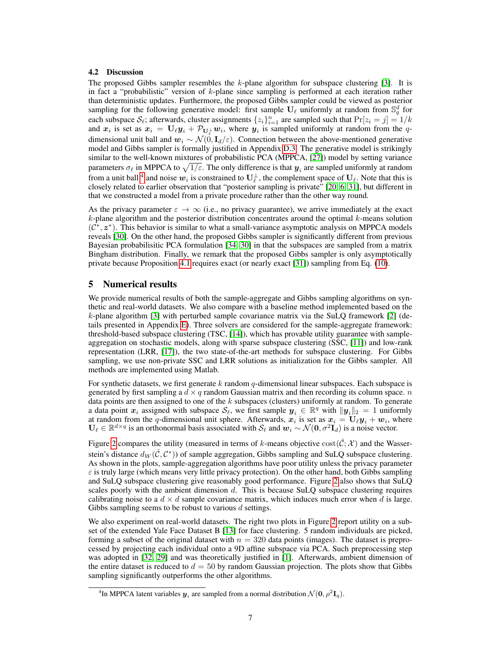# 4.2 Discussion

The proposed Gibbs sampler resembles the  $k$ -plane algorithm for subspace clustering [3]. It is in fact a "probabilistic" version of k-plane since sampling is performed at each iteration rather than deterministic updates. Furthermore, the proposed Gibbs sampler could be viewed as posterior sampling for the following generative model: first sample  $U_\ell$  uniformly at random from  $\mathbb{S}_q^d$  for each subspace  $S_{\ell}$ ; afterwards, cluster assignments  $\{z_i\}_{i=1}^n$  are sampled such that  $Pr[z_i = j] = 1/k$ and  $x_i$  is set as  $x_i = U_\ell y_i + \mathcal{P}_{U_\ell^\perp} w_i$ , where  $y_i$  is sampled uniformly at random from the qdimensional unit ball and  $w_i \sim \mathcal{N}(0, I_d/\varepsilon)$ . Connection between the above-mentioned generative model and Gibbs sampler is formally justified in Appendix D.3. The generative model is strikingly similar to the well-known mixtures of probabilistic PCA (MPPCA, [27]) model by setting variance parameters  $\sigma_\ell$  in MPPCA to  $\sqrt{1/\varepsilon}.$  The only difference is that  $\bm y_i$  are sampled uniformly at random from a unit ball <sup>4</sup> and noise  $w_i$  is constrained to  $U_\ell^{\perp}$ , the complement space of  $U_\ell$ . Note that this is closely related to earlier observation that "posterior sampling is private" [20, 6, 31], but different in that we constructed a model from a private procedure rather than the other way round.

As the privacy parameter  $\varepsilon \to \infty$  (i.e., no privacy guarantee), we arrive immediately at the exact  $k$ -plane algorithm and the posterior distribution concentrates around the optimal  $k$ -means solution  $(\mathcal{C}^*, \mathbf{z}^*)$ . This behavior is similar to what a small-variance asymptotic analysis on MPPCA models reveals [30]. On the other hand, the proposed Gibbs sampler is significantly different from previous Bayesian probabilisitic PCA formulation [34, 30] in that the subspaces are sampled from a matrix Bingham distribution. Finally, we remark that the proposed Gibbs sampler is only asymptotically private because Proposition 4.1 requires exact (or nearly exact [31]) sampling from Eq. (10).

# 5 Numerical results

We provide numerical results of both the sample-aggregate and Gibbs sampling algorithms on synthetic and real-world datasets. We also compare with a baseline method implemented based on the k-plane algorithm [3] with perturbed sample covariance matrix via the SuLQ framework [2] (details presented in Appendix E). Three solvers are considered for the sample-aggregate framework: threshold-based subspace clustering (TSC, [14]), which has provable utility guarantee with sampleaggregation on stochastic models, along with sparse subspace clustering (SSC, [11]) and low-rank representation (LRR, [17]), the two state-of-the-art methods for subspace clustering. For Gibbs sampling, we use non-private SSC and LRR solutions as initialization for the Gibbs sampler. All methods are implemented using Matlab.

For synthetic datasets, we first generate k random  $q$ -dimensional linear subspaces. Each subspace is generated by first sampling a  $d \times q$  random Gaussian matrix and then recording its column space. n data points are then assigned to one of the  $k$  subspaces (clusters) uniformly at random. To generate a data point  $x_i$  assigned with subspace  $\mathcal{S}_\ell$ , we first sample  $y_i \in \mathbb{R}^q$  with  $||y_i||_2 = 1$  uniformly at random from the q-dimensional unit sphere. Afterwards,  $x_i$  is set as  $x_i = U_\ell y_i + w_i$ , where  $U_\ell \in \mathbb{R}^{d \times q}$  is an orthonormal basis associated with  $\mathcal{S}_\ell$  and  $w_i \sim \mathcal{N}(0, \sigma^2 \mathbf{I}_d)$  is a noise vector.

Figure 2 compares the utility (measured in terms of k-means objective  $\text{cost}(\hat{C}; \mathcal{X})$ ) and the Wasserstein's distance  $d_W(\hat{C}, C^*)$ ) of sample aggregation, Gibbs sampling and SuLQ subspace clustering. As shown in the plots, sample-aggregation algorithms have poor utility unless the privacy parameter  $\varepsilon$  is truly large (which means very little privacy protection). On the other hand, both Gibbs sampling and SuLQ subspace clustering give reasonably good performance. Figure 2 also shows that SuLQ scales poorly with the ambient dimension d. This is because SuLQ subspace clustering requires calibrating noise to a  $d \times d$  sample covariance matrix, which induces much error when d is large. Gibbs sampling seems to be robust to various d settings.

We also experiment on real-world datasets. The right two plots in Figure 2 report utility on a subset of the extended Yale Face Dataset B [13] for face clustering. 5 random individuals are picked, forming a subset of the original dataset with  $n = 320$  data points (images). The dataset is preprocessed by projecting each individual onto a 9D affine subspace via PCA. Such preprocessing step was adopted in [32, 29] and was theoretically justified in [1]. Afterwards, ambient dimension of the entire dataset is reduced to  $d = 50$  by random Gaussian projection. The plots show that Gibbs sampling significantly outperforms the other algorithms.

<sup>&</sup>lt;sup>4</sup>In MPPCA latent variables  $y_i$  are sampled from a normal distribution  $\mathcal{N}(0, \rho^2 \mathbf{I}_q)$ .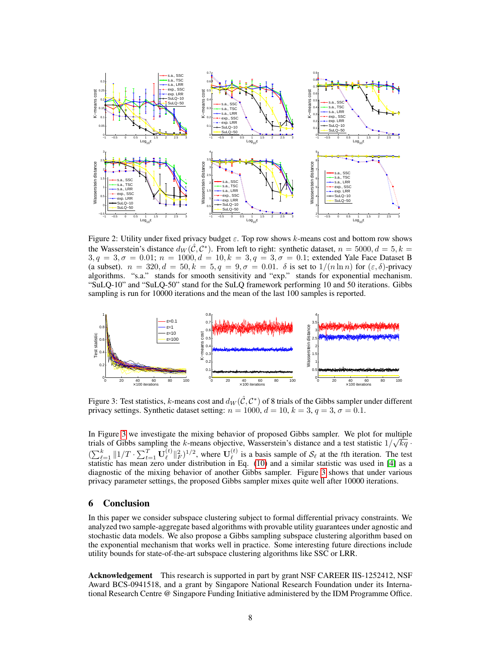

Figure 2: Utility under fixed privacy budget  $\varepsilon$ . Top row shows k-means cost and bottom row shows the Wasserstein's distance  $d_W(\hat{C}, C^*)$ . From left to right: synthetic dataset,  $n = 5000, d = 5, k = 5$  $3, q = 3, \sigma = 0.01; n = 1000, d = 10, k = 3, q = 3, \sigma = 0.1;$  extended Yale Face Dataset B (a subset).  $n = 320, d = 50, k = 5, q = 9, \sigma = 0.01$ .  $\delta$  is set to  $1/(n \ln n)$  for  $(\epsilon, \delta)$ -privacy algorithms. "s.a." stands for smooth sensitivity and "exp." stands for exponential mechanism. "SuLQ-10" and "SuLQ-50" stand for the SuLQ framework performing 10 and 50 iterations. Gibbs sampling is run for 10000 iterations and the mean of the last 100 samples is reported.



Figure 3: Test statistics, k-means cost and  $d_W(\hat{C}, C^*)$  of 8 trials of the Gibbs sampler under different privacy settings. Synthetic dataset setting:  $n = 1000$ ,  $d = 10$ ,  $k = 3$ ,  $q = 3$ ,  $\sigma = 0.1$ .

In Figure 3 we investigate the mixing behavior of proposed Gibbs sampler. We plot for multiple trials of Gibbs sampling the k-means objective, Wasserstein's distance and a test statistic  $1/\sqrt{kq}$ .  $(\sum_{\ell=1}^k ||1/T \cdot \sum_{t=1}^T \mathbf{U}_{\ell}^{(t)} )$  $\binom{t}{\ell}$  $\|_F^2$ )<sup>1/2</sup>, where  $\mathbf{U}_{\ell}^{(t)}$  $\ell$ <sup>(t)</sup> is a basis sample of  $S_{\ell}$  at the tth iteration. The test statistic has mean zero under distribution in Eq. (10) and a similar statistic was used in [4] as a diagnostic of the mixing behavior of another Gibbs sampler. Figure 3 shows that under various privacy parameter settings, the proposed Gibbs sampler mixes quite well after 10000 iterations.

# 6 Conclusion

In this paper we consider subspace clustering subject to formal differential privacy constraints. We analyzed two sample-aggregate based algorithms with provable utility guarantees under agnostic and stochastic data models. We also propose a Gibbs sampling subspace clustering algorithm based on the exponential mechanism that works well in practice. Some interesting future directions include utility bounds for state-of-the-art subspace clustering algorithms like SSC or LRR.

Acknowledgement This research is supported in part by grant NSF CAREER IIS-1252412, NSF Award BCS-0941518, and a grant by Singapore National Research Foundation under its International Research Centre @ Singapore Funding Initiative administered by the IDM Programme Office.